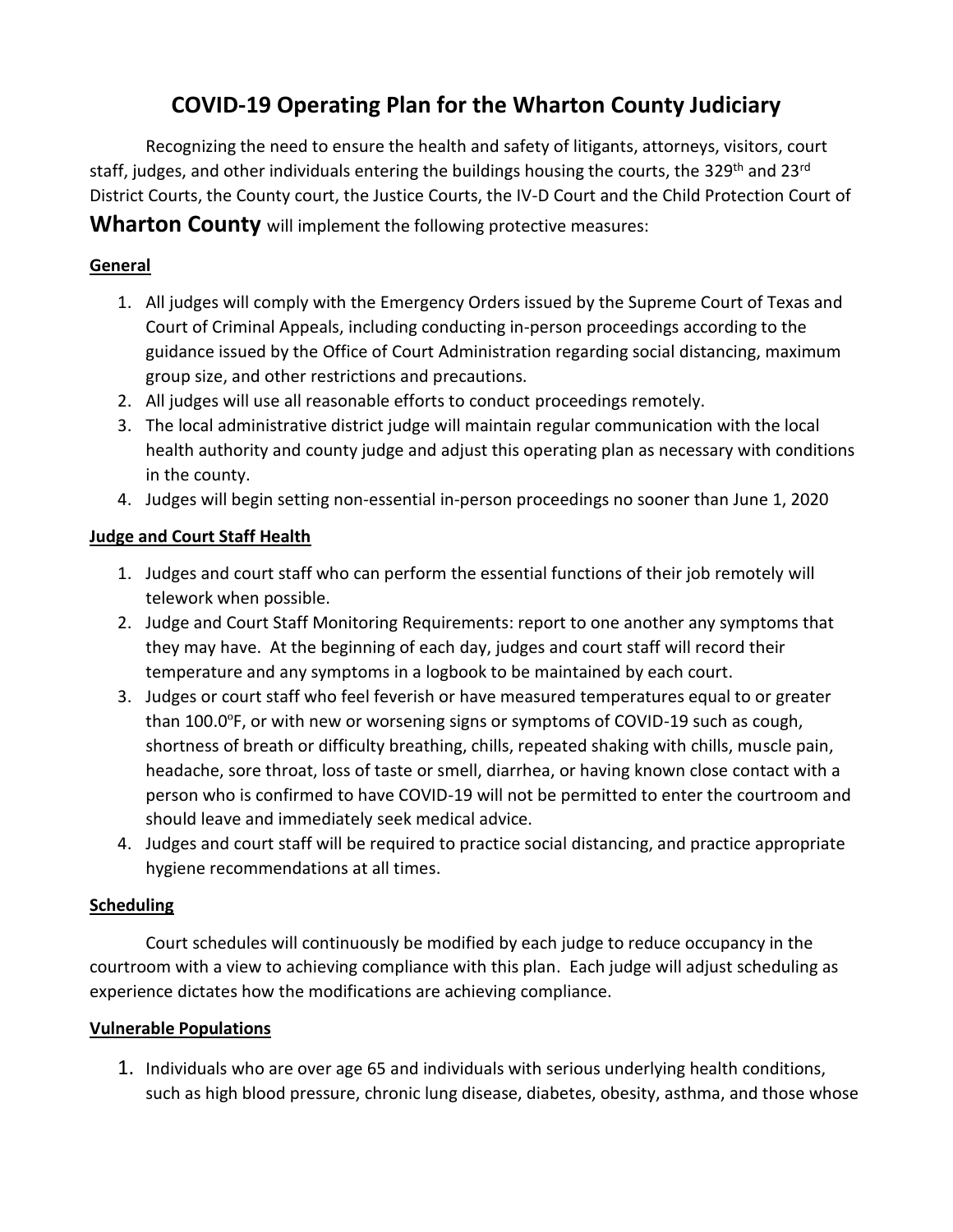# **COVID-19 Operating Plan for the Wharton County Judiciary**

Recognizing the need to ensure the health and safety of litigants, attorneys, visitors, court staff, judges, and other individuals entering the buildings housing the courts, the 329<sup>th</sup> and 23<sup>rd</sup> District Courts, the County court, the Justice Courts, the IV-D Court and the Child Protection Court of

**Wharton County** will implement the following protective measures:

## **General**

- 1. All judges will comply with the Emergency Orders issued by the Supreme Court of Texas and Court of Criminal Appeals, including conducting in-person proceedings according to the guidance issued by the Office of Court Administration regarding social distancing, maximum group size, and other restrictions and precautions.
- 2. All judges will use all reasonable efforts to conduct proceedings remotely.
- 3. The local administrative district judge will maintain regular communication with the local health authority and county judge and adjust this operating plan as necessary with conditions in the county.
- 4. Judges will begin setting non-essential in-person proceedings no sooner than June 1, 2020

# **Judge and Court Staff Health**

- 1. Judges and court staff who can perform the essential functions of their job remotely will telework when possible.
- 2. Judge and Court Staff Monitoring Requirements: report to one another any symptoms that they may have. At the beginning of each day, judges and court staff will record their temperature and any symptoms in a logbook to be maintained by each court.
- 3. Judges or court staff who feel feverish or have measured temperatures equal to or greater than 100.0ºF, or with new or worsening signs or symptoms of COVID-19 such as cough, shortness of breath or difficulty breathing, chills, repeated shaking with chills, muscle pain, headache, sore throat, loss of taste or smell, diarrhea, or having known close contact with a person who is confirmed to have COVID-19 will not be permitted to enter the courtroom and should leave and immediately seek medical advice.
- 4. Judges and court staff will be required to practice social distancing, and practice appropriate hygiene recommendations at all times.

### **Scheduling**

Court schedules will continuously be modified by each judge to reduce occupancy in the courtroom with a view to achieving compliance with this plan. Each judge will adjust scheduling as experience dictates how the modifications are achieving compliance.

### **Vulnerable Populations**

1. Individuals who are over age 65 and individuals with serious underlying health conditions, such as high blood pressure, chronic lung disease, diabetes, obesity, asthma, and those whose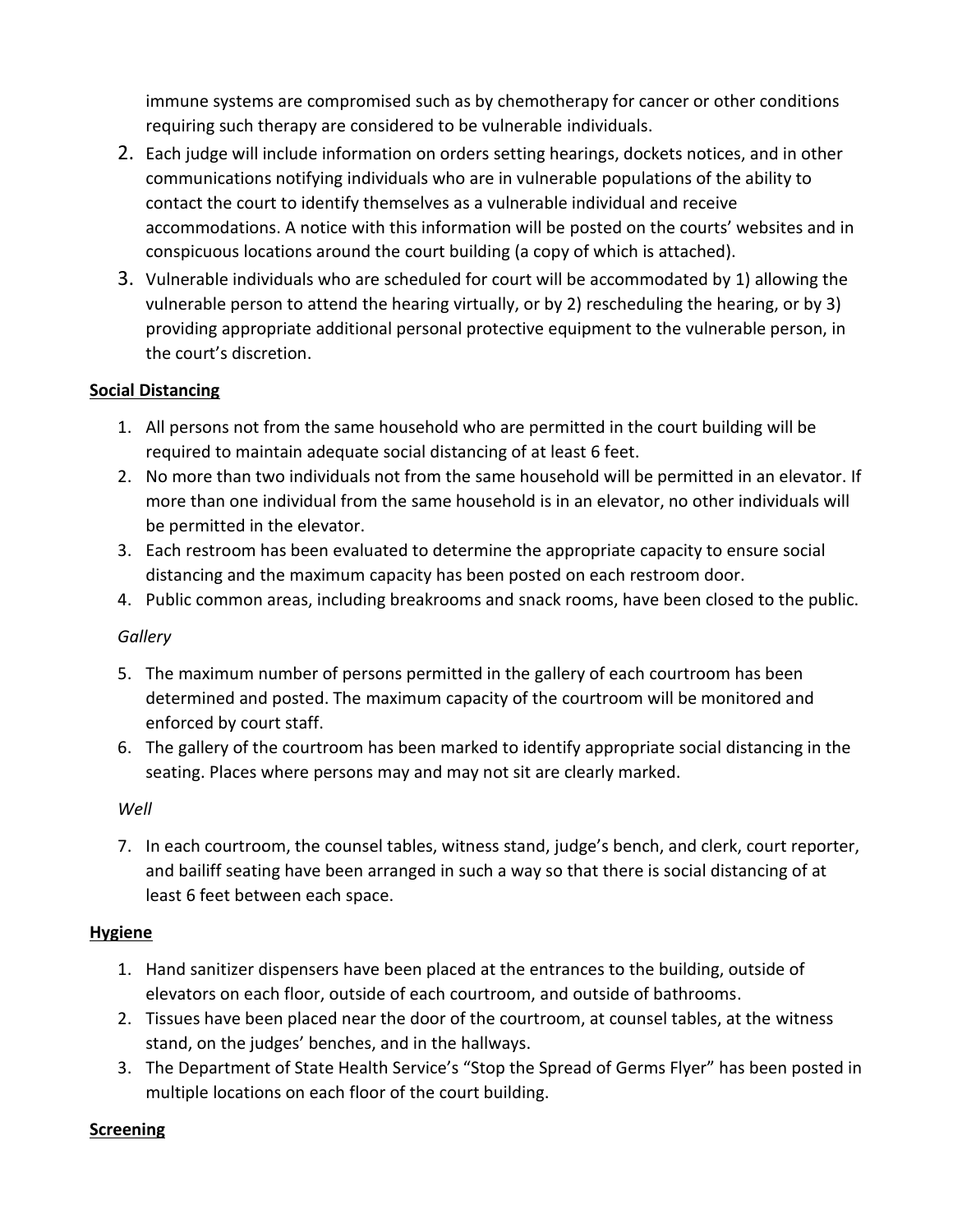immune systems are compromised such as by chemotherapy for cancer or other conditions requiring such therapy are considered to be vulnerable individuals.

- 2. Each judge will include information on orders setting hearings, dockets notices, and in other communications notifying individuals who are in vulnerable populations of the ability to contact the court to identify themselves as a vulnerable individual and receive accommodations. A notice with this information will be posted on the courts' websites and in conspicuous locations around the court building (a copy of which is attached).
- 3. Vulnerable individuals who are scheduled for court will be accommodated by 1) allowing the vulnerable person to attend the hearing virtually, or by 2) rescheduling the hearing, or by 3) providing appropriate additional personal protective equipment to the vulnerable person, in the court's discretion.

### **Social Distancing**

- 1. All persons not from the same household who are permitted in the court building will be required to maintain adequate social distancing of at least 6 feet.
- 2. No more than two individuals not from the same household will be permitted in an elevator. If more than one individual from the same household is in an elevator, no other individuals will be permitted in the elevator.
- 3. Each restroom has been evaluated to determine the appropriate capacity to ensure social distancing and the maximum capacity has been posted on each restroom door.
- 4. Public common areas, including breakrooms and snack rooms, have been closed to the public.

### *Gallery*

- 5. The maximum number of persons permitted in the gallery of each courtroom has been determined and posted. The maximum capacity of the courtroom will be monitored and enforced by court staff.
- 6. The gallery of the courtroom has been marked to identify appropriate social distancing in the seating. Places where persons may and may not sit are clearly marked.

#### *Well*

7. In each courtroom, the counsel tables, witness stand, judge's bench, and clerk, court reporter, and bailiff seating have been arranged in such a way so that there is social distancing of at least 6 feet between each space.

### **Hygiene**

- 1. Hand sanitizer dispensers have been placed at the entrances to the building, outside of elevators on each floor, outside of each courtroom, and outside of bathrooms.
- 2. Tissues have been placed near the door of the courtroom, at counsel tables, at the witness stand, on the judges' benches, and in the hallways.
- 3. The Department of State Health Service's "Stop the Spread of Germs Flyer" has been posted in multiple locations on each floor of the court building.

### **Screening**